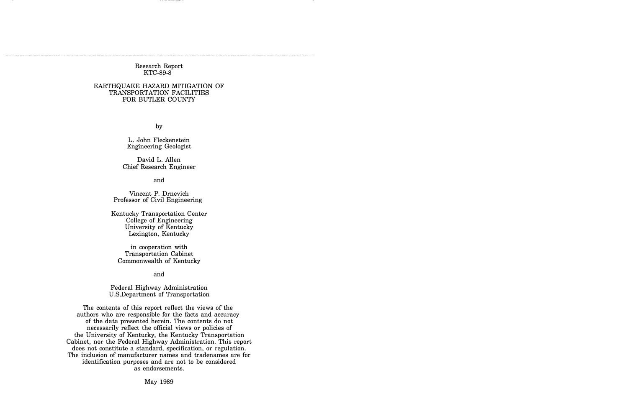#### Research Report KTC-89-8

#### EARTHQUAKE HAZARD MITIGATION OF TRANSPORTATION FACILITIES FOR BUTLER COUNTY

#### by

L. John Fleckenstein Engineering Geologist

David L. Allen Chief Research Engineer

and

Vincent P. Drnevich Professor of Civil Engineering

Kentucky Transportation Center College of Engineering University of Kentucky Lexington, Kentucky

in cooperation with Transportation Cabinet Commonwealth of Kentucky

and

Federal Highway Administration U.S.Department of Transportation

The contents of this report reflect the views of the authors who are responsible for the facts and accuracy of the data presented herein. The contents do not necessarily reflect the official views or policies of the University of Kentucky, the Kentucky Transportation Cabinet, nor the Federal Highway Administration. This report does not constitute a standard, specification, or regulation. The inclusion of manufacturer names and tradenames are for identification purposes and are not to be considered as endorsements.

May 1989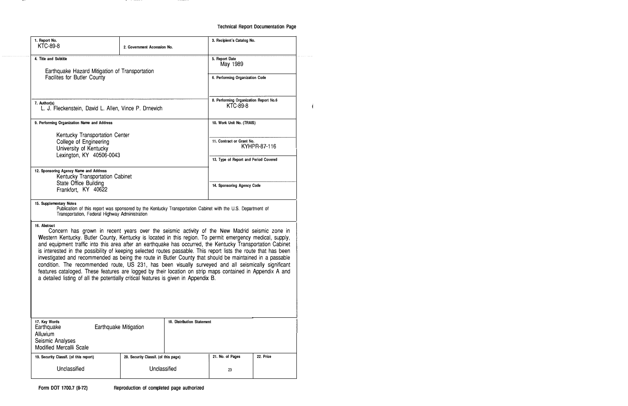#### Technical Report Documentation Page

| 1. Report No.<br>KTC-89-8                                                                                                                                                                                                                                                                                                                                                                                                                                                                                                                                                                                                                                                                                                                                                                                                                                                           | 2. Government Accession No.          |                                                    | 3. Recipient's Catalog No.            |              |
|-------------------------------------------------------------------------------------------------------------------------------------------------------------------------------------------------------------------------------------------------------------------------------------------------------------------------------------------------------------------------------------------------------------------------------------------------------------------------------------------------------------------------------------------------------------------------------------------------------------------------------------------------------------------------------------------------------------------------------------------------------------------------------------------------------------------------------------------------------------------------------------|--------------------------------------|----------------------------------------------------|---------------------------------------|--------------|
| 4. Title and Subtitle<br>Earthquake Hazard Mitigation of Transportation<br><b>Facilites for Butler County</b>                                                                                                                                                                                                                                                                                                                                                                                                                                                                                                                                                                                                                                                                                                                                                                       |                                      |                                                    | 5. Report Date<br>May 1989            |              |
|                                                                                                                                                                                                                                                                                                                                                                                                                                                                                                                                                                                                                                                                                                                                                                                                                                                                                     |                                      |                                                    | 6. Performing Organization Code       |              |
| 7. Author(s)<br>L. J. Fleckenstein, David L. Allen, Vince P. Drnevich                                                                                                                                                                                                                                                                                                                                                                                                                                                                                                                                                                                                                                                                                                                                                                                                               |                                      | 8. Performing Organization Report No.6<br>KTC-89-8 |                                       |              |
| 9. Performing Organization Name and Address                                                                                                                                                                                                                                                                                                                                                                                                                                                                                                                                                                                                                                                                                                                                                                                                                                         |                                      |                                                    | 10. Work Unit No. (TRAIS)             |              |
| Kentucky Transportation Center<br>College of Engineering<br>University of Kentucky                                                                                                                                                                                                                                                                                                                                                                                                                                                                                                                                                                                                                                                                                                                                                                                                  |                                      |                                                    | 11. Contract or Grant No.             | KYHPR-87-116 |
| Lexington, KY 40506-0043                                                                                                                                                                                                                                                                                                                                                                                                                                                                                                                                                                                                                                                                                                                                                                                                                                                            |                                      |                                                    | 13. Type of Report and Period Covered |              |
| 12. Sponsoring Agency Name and Address<br>Kentucky Transportation Cabinet<br><b>State Office Building</b><br>Frankfort, KY 40622                                                                                                                                                                                                                                                                                                                                                                                                                                                                                                                                                                                                                                                                                                                                                    |                                      | 14. Sponsoring Agency Code                         |                                       |              |
| 15. Supplementary Notes<br>Publication of this report was sponsored by the Kentucky Transportation Cabinet with the U.S. Department of<br>Transportation, Federal Highway Administration                                                                                                                                                                                                                                                                                                                                                                                                                                                                                                                                                                                                                                                                                            |                                      |                                                    |                                       |              |
| 16. Abstract<br>Concern has grown in recent years over the seismic activity of the New Madrid seismic zone in<br>Western Kentucky. Butler County, Kentucky is located in this region. To permit emergency medical, supply,<br>and equipment traffic into this area after an earthquake has occurred, the Kentucky Transportation Cabinet<br>is interested in the possibility of keeping selected routes passable. This report lists the route that has been<br>investigated and recommended as being the route in Butler County that should be maintained in a passable<br>condition. The recommended route, US 231, has been visually surveyed and all seismically significant<br>features cataloged. These features are logged by their location on strip maps contained in Appendix A and<br>a detailed listing of all the potentially critical features is given in Appendix B. |                                      |                                                    |                                       |              |
| 17. Key Words<br>Earthquake Mitigation<br>Earthquake<br>Alluvium<br>Seismic Analyses<br><b>Modified Mercalli Scale</b>                                                                                                                                                                                                                                                                                                                                                                                                                                                                                                                                                                                                                                                                                                                                                              | 18. Distribution Statement           |                                                    |                                       |              |
| 19. Security Classif. (of this report)                                                                                                                                                                                                                                                                                                                                                                                                                                                                                                                                                                                                                                                                                                                                                                                                                                              | 20. Security Classif. (of this page) |                                                    | 21. No. of Pages                      | 22. Price    |
| Unclassified<br>Unclassified                                                                                                                                                                                                                                                                                                                                                                                                                                                                                                                                                                                                                                                                                                                                                                                                                                                        |                                      |                                                    | 23                                    |              |

 $\mathcal{A}$ 

.......

**Contract Contract**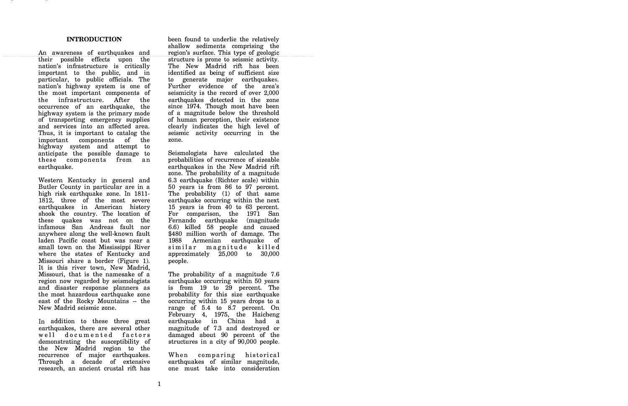#### INTRODUCTION

An awareness of earthquakes and their possible effects upon the nation's infrastructure is critically important to the public, and in particular, to public officials. The nation's highway system is one of the most important components of the infrastructure. After the occurrence of an earthquake, the highway system is the primary mode of transporting emergency supplies and services into an affected area. Thus, it is important to catalog the important components of the highway system and attempt to anticipate the possible damage to these components from an earthquake.

Western Kentucky in general and Butler County in particular are in a high risk earthquake zone. In 1811- 1812, three of the most severe earthquakes in American history shook the country. The location of these quakes was not on the infamous San Andreas fault nor anywhere along the well-known fault laden Pacific coast but was near a small town on the Mississippi River where the states of Kentucky and Missouri share a border (Figure 1). It is this river town, New Madrid, Missouri, that is the namesake of a region now regarded by seismologists and disaster response planners as the most hazardous earthquake zone east of the Rocky Mountains -- the New Madrid seismic zone.

In addition to these three great earthquakes, there are several other well documented factors demonstrating the susceptibility of the New Madrid region to the recurrence of major earthquakes. Through a decade of extensive research, an ancient crustal rift has

been found to underlie the relatively shallow sediments comprising the region's surface. This type of geologic structure is prone to seismic activity. The New Madrid rift has been identified as being of sufficient size to generate major earthquakes. Further evidence of the area's seismicity is the record of over 2,000 earthquakes detected in the zone since 1974. Though most have been of a magnitude below the threshold of human perception, their existence clearly indicates the high level of seismic activity occurring in the zone.

Seismologists have calculated the probabilities of recurrence of sizeable earthquakes in the New Madrid rift zone. The probability of a magnitude 6.3 earthquake (Richter scale) within 50 years is from 86 to 97 percent. The probability (1) of that same earthquake occurring within the next 15 years is from 40 to 63 percent. For comparison, the 1971 San Fernando earthquake (magnitude 6.6) killed 58 people and caused \$480 million worth of damage. The 1988 Armenian earthquake of similar magnitude killed approximately 25,000 to 30,000 people.

The probability of a magnitude 7.6 earthquake occurring within 50 years is from 19 to 29 percent. The probability for this size earthquake occurring within 15 years drops to a range of 5.4 to 8.7 percent. On February 4, 1975, the Haicheng earthquake in China had a magnitude of 7.3 and destroyed or damaged about 90 percent of the structures in a city of 90,000 people.

When comparing historical earthquakes of similar magnitude, one must take into consideration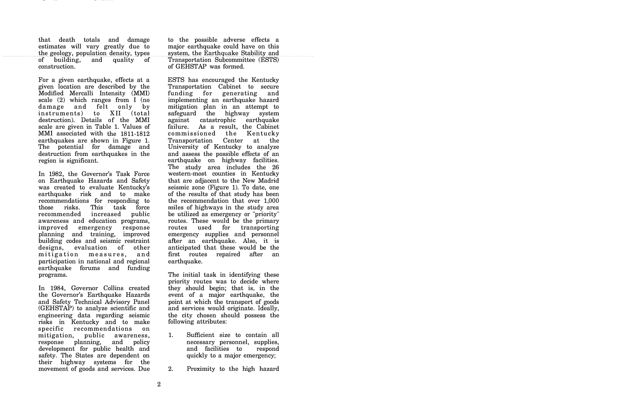that death totals and damage estimates will vary greatly due to the geology, population density, types of building, and quality of construction.

For a given earthquake, effects at a given location are described by the Modified Mercalli Intensity (MMI) scale (2) which ranges from I (no damage and felt only by instruments) to XII (total destruction). Details of the MMI scale are given in Table 1. Values of MMI associated with the 1811-1812 earthquakes are shown in Figure 1. The potential for damage and destruction from earthquakes in the region is significant.

In 1982, the Governor's Task Force on Earthquake Hazards and Safety was created to evaluate Kentucky's earthquake risk and to make recommendations for responding to those risks. This task force recommended increased public awareness and education programs, improved emergency response planning and training, improved building codes and seismic restraint designs, evaluation of other mitigation measures, and participation in national and regional earthquake forums and funding programs.

In 1984, Govemor Collins created the Governor's Earthquake Hazards and Safety Technical Advisory Panel (GEHSTAP) to analyze scientific and engineering data regarding seismic risks in Kentucky and to make specific recommendations on mitigation, public awareness, response planning, and policy development for public health and safety. The States are dependent on their highway systems for the movement of goods and services. Due

to the possible adverse effects a major earthquake could have on this system, the Earthquake Stability and Transportation Subcommittee (ESTS) of GEHSTAP was formed.

ESTS has encouraged the Kentucky Transportation Cabinet to secure funding for generating and implementing an earthquake hazard mitigation plan in an attempt to safeguard the highway system against catastrophic earthquake failure. As a result, the Cabinet commissioned the Kentucky Transportation Center at the University of Kentucky to analyze and assess the possible effects of an earthquake on highway facilities. The study area includes the 26 western-most counties in Kentucky that are adjacent to the New Madrid seismic zone (Figure 1). To date, one of the results of that study has been the recommendation that over 1,000 miles of highways in the study area be utilized as emergency or "priority" routes. These would be the primary routes used for transporting emergency supplies and personnel after an earthquake. Also, it is anticipated that these would be the first routes repaired after an earthquake.

The initial task in identifying these priority routes was to decide where they should begin; that is, in the event of a major earthquake, the point at which the transport of goods and services would originate. Ideally, the city chosen should possess the following attributes:

- 1. Sufficient size to contain all necessary personnel, supplies, and facilities to respond quickly to a major emergency;
- 2. Proximity to the high hazard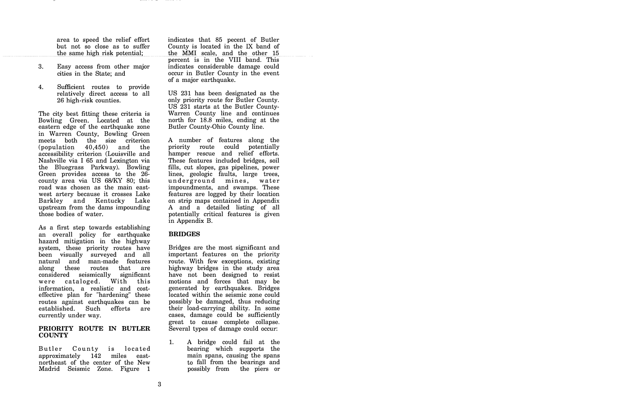area to speed the relief effort but not so close as to suffer the same high risk potential;

- 3. Easy access from other major cities in the State; and
- 4. Sufficient routes to provide relatively direct access to all 26 high-risk counties.

The city best fitting these criteria is Bowling Green. Located at the eastern edge of the earthquake zone in Warren County, Bowling Green meets both the size criterion (population 40,450) and the accessibility criterion (Louisville and Nashville via I 65 and Lexington via the Bluegrass Parkway). Bowling Green provides access to the 26 county area via US 68/KY 80; this road was chosen as the main eastwest artery because it crosses Lake Barkley and Kentucky Lake upstream from the dams impounding those bodies of water.

#### PRIORITY ROUTE IN BUTLER **COUNTY**

As a first step towards establishing an overall policy for earthquake hazard mitigation in the highway system, these priority routes have been visually surveyed and all natural and man-made features along these routes that are considered seismically significant were cataloged. With this information, a realistic and costeffective plan for "hardening" these routes against earthquakes can be established. Such efforts are currently under way.

Butler County is located approximately 142 miles eastnortheast of the center of the New Madrid Seismic Zone. Figure 1

indicates that 85 pecent of Butler County is located in the IX band of the MMI scale, and the other 15 percent is in the VIII band. This indicates considerable damage could occur in Butler County in the event of a major earthquake.

US 231 has been designated as the only priority route for Butler County. US 231 starts at the Butler County-Warren County line and continues north for 18.8 miles, ending at the Butler County-Ohio County line.

A number of features along the priority route could potentially hamper rescue and relief efforts. These features included bridges, soil fills, cut slopes, gas pipelines, power lines, geologic faults, large trees, underground mines, water impoundments, and swamps. These features are logged by their location on strip maps contained in Appendix A and a detailed listing of all potentially critical features is given in Appendix B.

### BRIDGES

Bridges are the most significant and important features on the priority route. With few exceptions, existing highway bridges in the study area have not been designed to resist motions and forces that may be generated by earthquakes. Bridges located within the seismic zone could possibly be damaged, thus reducing their load-carrying ability. In some cases, damage could be sufficiently great to cause complete collapse. Several types of damage could occur:

1. A bridge could fail at the bearing which supports the main spans, causing the spans to fall from the bearings and possibly from the piers or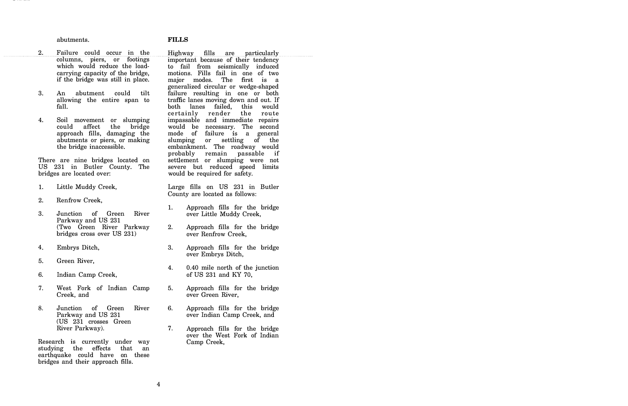abutments.

- 2. Failure could occur in the columns, piers, or footings which would reduce the loadcarrying capacity of the bridge, if the bridge was still in place.
- 3. An abutment could tilt allowing the entire span to fall.
- 4. Soil movement or slumping could affect the bridge approach fills, damaging the abutments or piers, or making the bridge inaccessible.

There are nine bridges located on US 231 in Butler County. The bridges are located over:

- 1. Little Muddy Creek,
- 2. Renfrow Creek,
- 3. Junction of Green River Parkway and US 231 (Two Green River Parkway bridges cross over US 231)
- 4. Embrys Ditch,
- 5. Green River,
- 6. Indian Camp Creek,
- 7. West Fork of Indian Camp Creek, and
- 8. Junction of Green River Parkway and US 231 (US 231 crosses Green River Parkway).

Research is currently under way studying the effects that an earthquake could have on these bridges and their approach fills.

#### FILLS

Highway fills are particularly important because of their tendency to fail from seismically induced motions. Fills fail in one of two major modes. The first is a generalized circular or wedge-shaped failure resulting in one or both traffic lanes moving down and out. If both lanes failed, this would certainly render the route impassable and immediate repairs would be necessary. The second mode of failure is a general slumping or settling of the embankment. The roadway would probably remain passable if settlement or slumping were not severe but reduced speed limits would be required for safety.

- Large fills on US 231 in Butler County are located as follows:
- 1. Approach fills for the bridge over Little Muddy Creek,
- 2. Approach fills for the bridge over Renfrow Creek,
- 3. Approach fills for the bridge over Embrys Ditch,
- 4. 0.40 mile north of the junction of US 231 and KY 70,
- 5. Approach fills for the bridge over Green River,
- 6. Approach fills for the bridge over Indian Camp Creek, and
- 7. Approach fills for the bridge over the West Fork of Indian Camp Creek,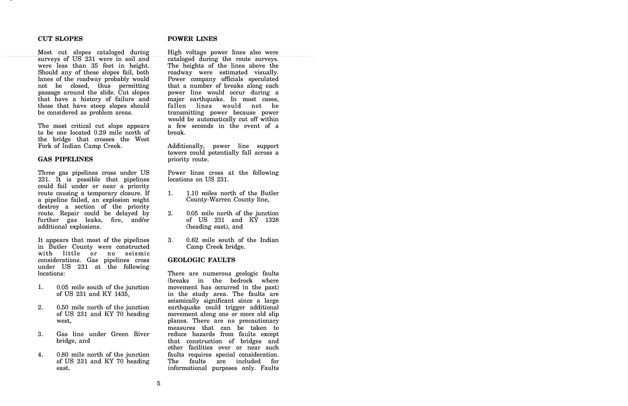#### CUT SLOPES

Most cut slopes cataloged during surveys of US 231 were in soil and were less than 35 feet in height. Should any of these slopes fail, both lanes of the roadway probably would not be closed, thus permitting passage around the slide. Cut slopes that have a history of failure and those that have steep slopes should be considered as problem areas.

The most critical cut slope appears to be one located 0.29 mile north of the bridge that crosses the West Fork of Indian Camp Creek.

#### GAS PIPELINES

Three gas pipelines cross under US 231. It is possible that pipelines could fail under or near a priority route causing a temporary closure. If a pipeline failed, an explosion might destroy a section of the priority route. Repair could be delayed by further gas leaks, fire, and/or additional explosions.

It appears that most of the pipelines in Butler County were constructed with little or no seismic considerations. Gas pipelines cross under US 231 at the following locations:

- 1. 0.05 mile south of the junction of US 231 and KY 1435,
- 2. 0.50 mile north of the junction of US 231 and KY 70 heading west,
- 3. Gas line under Green River bridge, and
- 4. 0.80 mile north of the junction of US 231 and KY 70 heading east.

#### POWER LINES

High voltage power lines also were cataloged during the route surveys. The heights of the lines above the roadway were estimated visually. Power company officials speculated that a number of breaks along each power line would occur during a major earthquake. In most cases, fallen lines would not be transmitting power because power would be automatically cut off within a few seconds in the event of a break.

Additionally, power line support towers could potentially fall across a priority route.

Power lines cross at the following locations on US 231.

- 1. 1.10 miles north of the Butler County-Warren County line,
- 2. 0.05 mile north of the junction of US 231 and KY 1328 (heading east), and
- 3. 0.62 mile south of the Indian Camp Creek bridge.

#### GEOLOGIC FAULTS

There are numerous geologic faults (breaks in the bedrock where movement has occurred in the past) in the study area. The faults are seismically significant since a large earthquake could trigger additional movement along one or more old slip planes. There are no precautionary measures that can be taken to reduce hazards from faults except that construction of bridges and other facilities over or near such faults requires special consideration. The faults are included for informational purposes only. Faults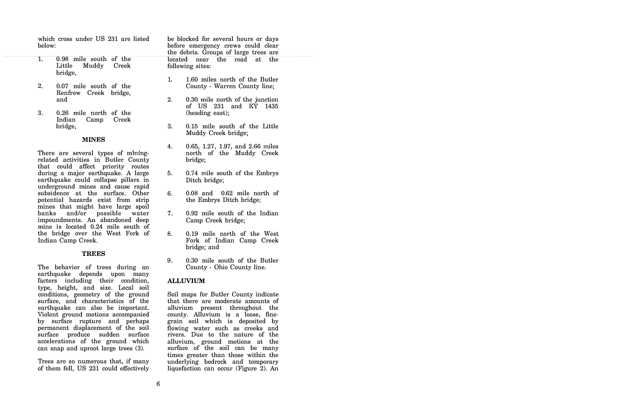which cross under US 231 are listed below:

- 1. 0.98 mile south of the Little Muddy bridge, Creek
- 2. 0.07 mile south of the Renfrow Creek bridge, and
- 3. 0.26 mile north of the Indian Camp Creek bridge,

#### MINES

There are several types of miningrelated activities in Butler County that could affect priority routes during a major earthquake. A large earthquake could collapse pillars in underground mines and cause rapid subsidence at the surface. Other potential hazards exist from strip mines that might have large spoil banks and/or possible water impoundments. An abandoned deep mine is located 0.24 mile south of the bridge over the West Fork of Indian Camp Creek.

#### **TREES**

The behavior of trees during an earthquake depends upon many factors including their condition, type, height, and size. Local soil conditions, geometry of the ground surface, and characteristics of the earthquake can also be important. Violent ground motions accompanied by surface rupture and perhaps permanent displacement of the soil surface produce sudden surface accelerations of the ground which can snap and uproot large trees (3).

Trees are so numerous that, if many of them fell, US 231 could effectively

be blocked for several hours or days before emergency crews could clear the debris. Groups of large trees are located near the road at the following sites:

- 1. 1.60 miles north of the Butler County - Warren County line;
- 2. 0.30 mile north of the junction of US 231 and KY 1435 (heading east);
- 3. 0.15 mile south of the Little Muddy Creek bridge;
- 4. 0.65, 1.27, 1.97, and 2.66 miles north of the Muddy Creek bridge;
- 5. 0.74 mile south of the Embrys Ditch bridge;
- 6. 0.08 and 0.62 mile north of the Embrys Ditch bridge;
- 7. 0.92 mile south of the Indian Camp Creek bridge;
- 8. 0.19 mile north of the West Fork of Indian Camp Creek bridge; and
- 9. 0.30 mile south of the Butler County - Ohio County line.

#### ALLUVIUM

Soil maps for Butler County indicate that there are moderate amounts of alluvium present throughout the county. Alluvium is a loose, finegrain soil which is deposited by flowing water such as creeks and rivers. Due to the nature of the alluvium, ground motions at the surface of the soil can be many times greater than those within the underlying bedrock and temporary liquefaction can occur (Figure 2). An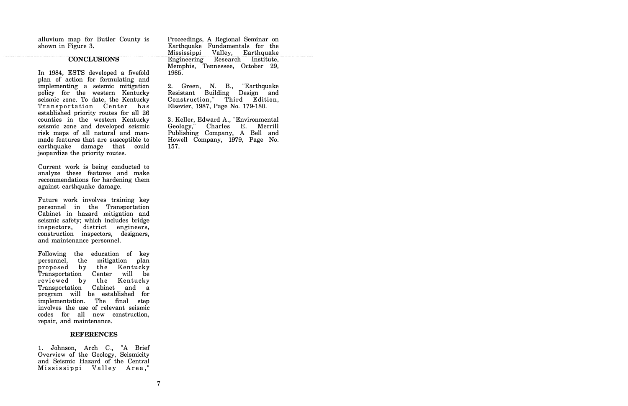alluvium map for Butler County is shown in Figure 3.

#### **CONCLUSIONS**

Current work is being conducted to analyze these features and make recommendations for hardening them against earthquake damage.

In 1984, ESTS developed a fivefold plan of action for formulating and implementing a seismic mitigation policy for the western Kentucky seismic zone. To date, the Kentucky Transportation Center has established priority routes for all 26 counties in the western Kentucky seismic zone and developed seismic risk maps of all natural and manmade features that are susceptible to earthquake damage that could jeopardize the priority routes.

1. Johnson, Arch C., "A Brief Overview of the Geology, Seismicity and Seismic Hazard of the Central Mississippi Valley Area,"

Future work involves training key personnel in the Transportation Cabinet in hazard mitigation and seismic safety; which includes bridge inspectors, district engineers, construction inspectors, designers, and maintenance personnel.

Following the education of key personnel, the mitigation plan proposed by the Kentucky Transportation Center will be reviewed by the Kentucky Transportation Cabinet and a program will be established for implementation. The final step involves the use of relevant seismic codes for all new construction, repair, and maintenance.

#### **REFERENCES**

Proceedings, A Regional Seminar on Earthquake Fundamentals for the Mississippi Valley, Earthquake Engineering Research Institute, Memphis, Tennessee, October 29, 1985.

2. Green, N. B., "Earthquake Resistant Building Design and Construction," Third Edition, Elsevier, 1987, Page No. 179-180.

3. Keller, Edward A., "Environmental Geology," Charles E. Merrill Publishing Company, A Bell and Howell Company, 1979, Page No. 157.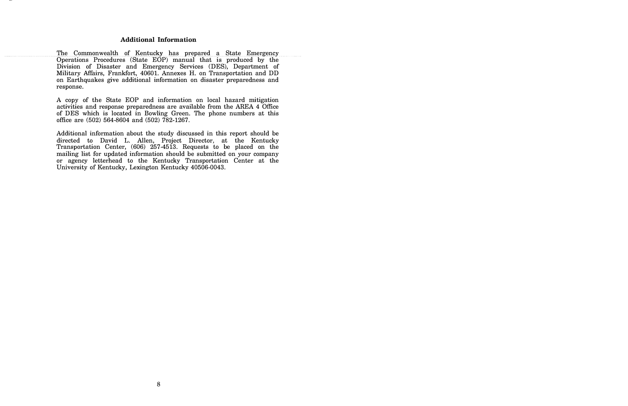#### Additional Information

The Commonwealth of Kentucky has prepared a State Emergency Operations Procedures (State EOP) manual that is produced by the Division of Disaster and Emergency Services (DES), Department of Military Affairs, Frankfort, 40601. Annexes H. on Transportation and DD on Earthquakes give additional information on disaster preparedness and response.

A copy of the State EOP and information on local hazard mitigation activities and response preparedness are available from the AREA 4 Office of DES which is located in Bowling Green. The phone numbers at this office are (502) 564-8604 and (502) 782-1267.

Additional information about the study discussed in this report should be directed to David L. Allen, Project Director, at the Kentucky Transportation Center, (606) 257-4513. Requests to be placed on the mailing list for updated information should be submitted on your company or agency letterhead to the Kentucky Transportation Center at the University of Kentucky, Lexington Kentucky 40506-0043.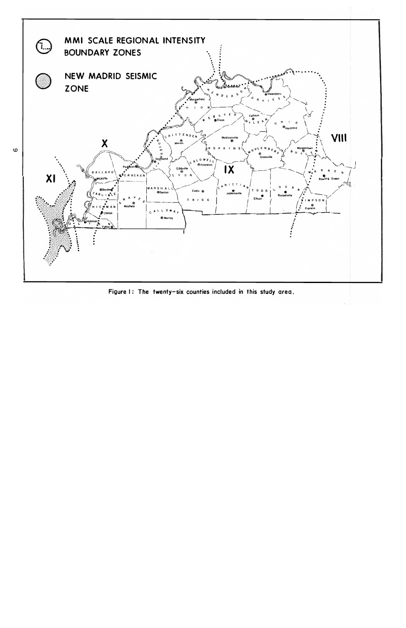

 $\mathbf c$ 

Figure I: The twenty-six counties included in this study area.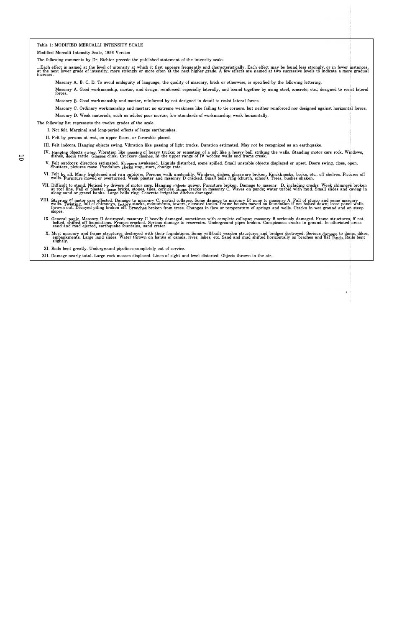,\_. 0

#### Table 1: MODIFIED MERCALLI INTENSITY SCALE

Modified Mercalli Intensity Scale, 1956 Version

The following comments by Dr. Richter precede the published statement of the intensity scale:

...Each effect is named at the level of intensity at which it first appears frequently and characteristically. Each effect may be found less strongly, or in fewer instances, at the next lower grade of intensity; more stron

Masonry A, B, C, D. To avoid ambiguity of language, the quality of masonry, brick or otherwise, is specified by the following lettering.

- I. Not felt. Marginal and long-period effects of large earthquakes.
- II. Felt by persons at rest, on upper floors, or favorable placed.

Masonry A. Good workmanship, mortar, and design; reinforced, especially laterally, and bound together by using steel, concrete, etc.; designed to resist lateral forces.

Masonry B. Good workmanship and mortar, reinforced by not designed in detail to resist lateral forces.

Masonry C. Ordinary workmanship and mortar; no extreme weakness like failing to tie corners, but neither reinforced nor designed against horizontal forces.

Masonry D. Weak materials, such as adobe; poor mortar; low standards of workmanship; weak horizontally.

The following list represents the twelve grades of the scale.

III. Felt indoors, Hanging objects swing. Vibration like passing of light trucks. Duration estimated. May not be recognized as an earthquake.

- IV. Hanging objects swing. Vibration like passing of heavy trucks; or sensation of a jolt like a heavy ball striking the walls. Standing motor cars rock. Windows,<br>dishes, doors rattle. Glasses clink. Crockery clashes. In t
- V. Felt outdoors; direction estimated. Sleepers awakened. Liquids disturbed, some spilled. Small unstable objects displaced or upset. Doors swing, close, open.<br>Shutters, pictures move. Pendulum clocks stop, start, change r
- VI. Felt by all. Many inghtened and run outdoors. Persons walk unsteadily. Windows, dishes, glassware broken, Knickknacks, books, etc., off shelves. Pictures off<br>walls. Furniture moved or overturned. Weak plaster and mason
- VII. Difficult to stand. Noticed by drivers of motor cars. Hanging objects quiver. Furniture broken. Damage to masonr U, including cracks. Weak chimneys broken at roof line. Fall of plaster, loose bricks, stones, tiles, co
- VIII. Steering of motor cars affected. Damage to masonry C; partial collapse. Some damage to masonry B; none to masonry A. Fall of stucco and some masonry<br>walls. Twisting, fall of chimneys, factory stacks, monuments, tower slopes.
- IX. General panic. Masonry D destroyed; masonry C heavily damaged, sometimes with complete collapse; masonry B seriously damaged. Frame structures, if not<br>bolted, shifted off foundations. Frames cracked. Serious damage to
- X. Most masonry and frame structures destroyed with their foundations. Some will-built wooden structures and bridges destroyed. Serious damage to dams, dikes,<br>embankments. Large land slides. Water thrown on banks of canals slightly.

XI. Rails bent greatly. Underground pipelines completely out of service.

XII. Damage nearly total. Large rock masses displaced. Lines of sight and level distorted. Objects thrown in the air.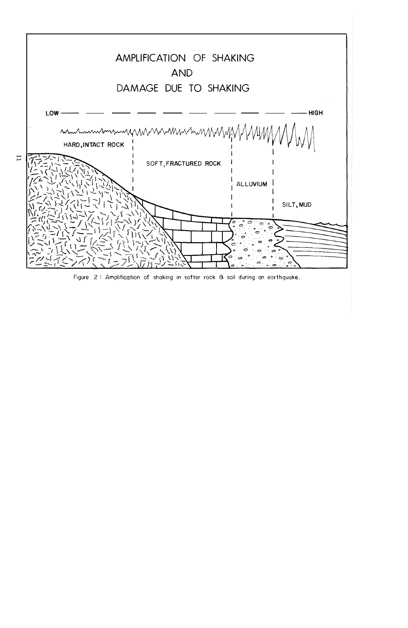

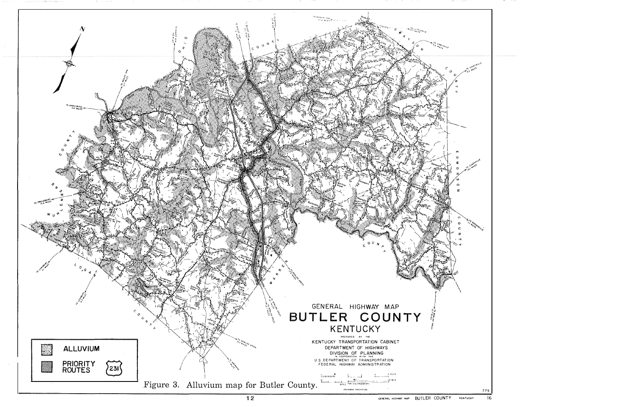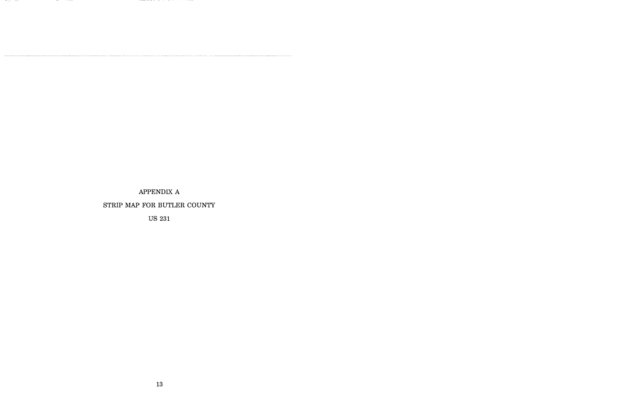# APPENDIX A

and the second contract of

the common contract of the common

# STRIP MAP FOR BUTLER COUNTY

US 231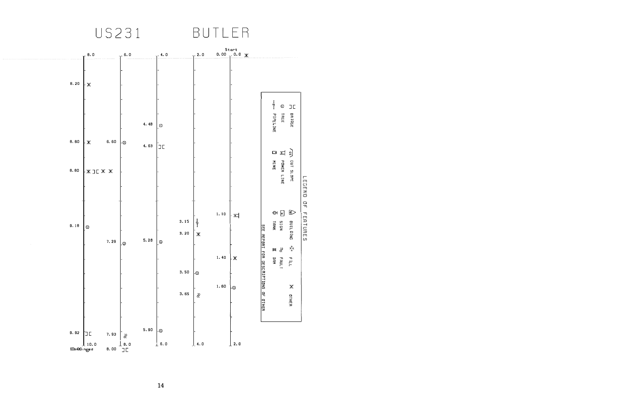US231 **BUTLER** 

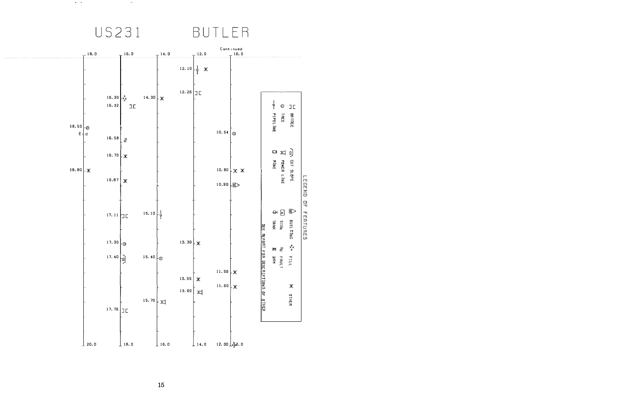US231 BUTLER

 $\sim 1000$ 

 $\sim 10^{11}$  km s  $^{-1}$ 

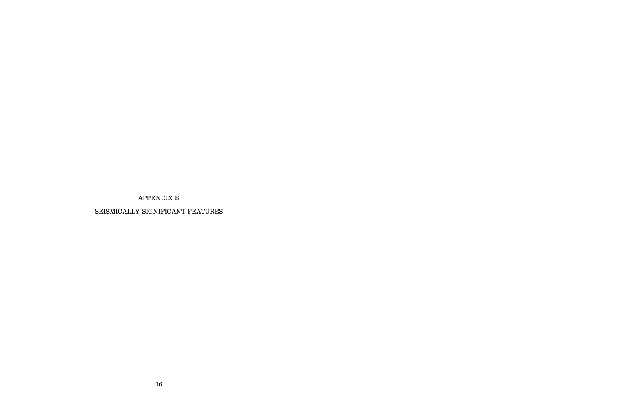## APPENDIX B

### SEISMICALLY SIGNIFICANT FEATURES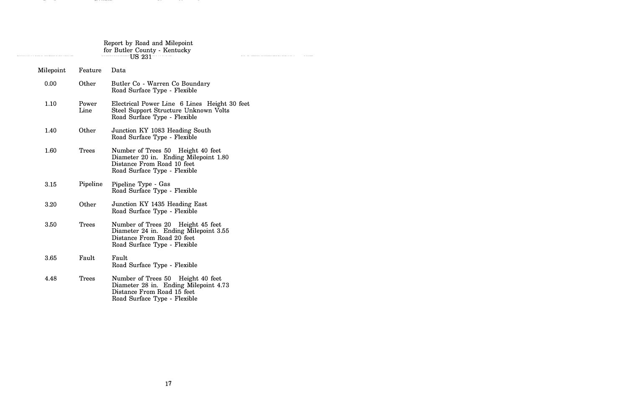|           |               | Report by Road and Milepoint<br>for Butler County - Kentucky<br><b>US 231</b>                                                            |  |
|-----------|---------------|------------------------------------------------------------------------------------------------------------------------------------------|--|
| Milepoint | Feature       | Data                                                                                                                                     |  |
| 0.00      | Other         | Butler Co - Warren Co Boundary<br>Road Surface Type - Flexible                                                                           |  |
| 1.10      | Power<br>Line | Electrical Power Line 6 Lines Height 30 feet<br>Steel Support Structure Unknown Volts<br>Road Surface Type - Flexible                    |  |
| 1.40      | Other         | Junction KY 1083 Heading South<br>Road Surface Type - Flexible                                                                           |  |
| 1.60      | <b>Trees</b>  | Number of Trees 50 Height 40 feet<br>Diameter 20 in. Ending Milepoint 1.80<br>Distance From Road 10 feet<br>Road Surface Type - Flexible |  |
| 3.15      | Pipeline      | Pipeline Type - Gas<br>Road Surface Type - Flexible                                                                                      |  |
| 3.20      | Other         | Junction KY 1435 Heading East<br>Road Surface Type - Flexible                                                                            |  |
| 3.50      | <b>Trees</b>  | Number of Trees 20 Height 45 feet<br>Diameter 24 in. Ending Milepoint 3.55<br>Distance From Road 20 feet<br>Road Surface Type - Flexible |  |
| 3.65      | Fault         | Fault<br>Road Surface Type - Flexible                                                                                                    |  |
| 4.48      | <b>Trees</b>  | Number of Trees 50 Height 40 feet<br>Diameter 28 in. Ending Milepoint 4.73<br>Distance From Road 15 feet<br>Road Surface Type - Flexible |  |

 $\sim$  , , , , , , ,  $\sim$ 

the company of the company of the

. . . . . . .

and the contract of the contract of the contract of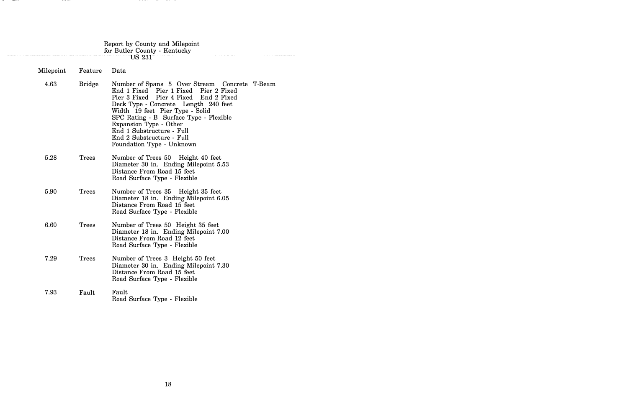|           |               | Report by County and Milepoint<br>for Butler County - Kentucky<br>US 231                                                                                                                                                                                                                                                                                                        |  |
|-----------|---------------|---------------------------------------------------------------------------------------------------------------------------------------------------------------------------------------------------------------------------------------------------------------------------------------------------------------------------------------------------------------------------------|--|
| Milepoint | Feature       | Data                                                                                                                                                                                                                                                                                                                                                                            |  |
| 4.63      | <b>Bridge</b> | Number of Spans 5 Over Stream Concrete T-Beam<br>End 1 Fixed Pier 1 Fixed Pier 2 Fixed<br>Pier 3 Fixed Pier 4 Fixed<br>End 2 Fixed<br>Deck Type - Concrete Length 240 feet<br>Width 19 feet Pier Type - Solid<br>SPC Rating - B Surface Type - Flexible<br><b>Expansion Type - Other</b><br>End 1 Substructure - Full<br>End 2 Substructure - Full<br>Foundation Type - Unknown |  |
| 5.28      | <b>Trees</b>  | Number of Trees 50<br>Height 40 feet<br>Diameter 30 in. Ending Milepoint 5.53<br>Distance From Road 15 feet<br>Road Surface Type - Flexible                                                                                                                                                                                                                                     |  |
| 5.90      | <b>Trees</b>  | Number of Trees 35 Height 35 feet<br>Diameter 18 in. Ending Milepoint 6.05<br>Distance From Road 15 feet<br>Road Surface Type - Flexible                                                                                                                                                                                                                                        |  |
| 6.60      | <b>Trees</b>  | Number of Trees 50 Height 35 feet<br>Diameter 18 in. Ending Milepoint 7.00<br>Distance From Road 12 feet<br>Road Surface Type - Flexible                                                                                                                                                                                                                                        |  |
| 7.29      | <b>Trees</b>  | Number of Trees 3 Height 50 feet<br>Diameter 30 in. Ending Milepoint 7.30<br>Distance From Road 15 feet<br>Road Surface Type - Flexible                                                                                                                                                                                                                                         |  |
| 7.93      | Fault         | Fault<br>Road Surface Type - Flexible                                                                                                                                                                                                                                                                                                                                           |  |

 $\mathbf{r}$  and  $\mathbf{r}$  are the set of  $\mathbf{r}$ 

. . . . . . .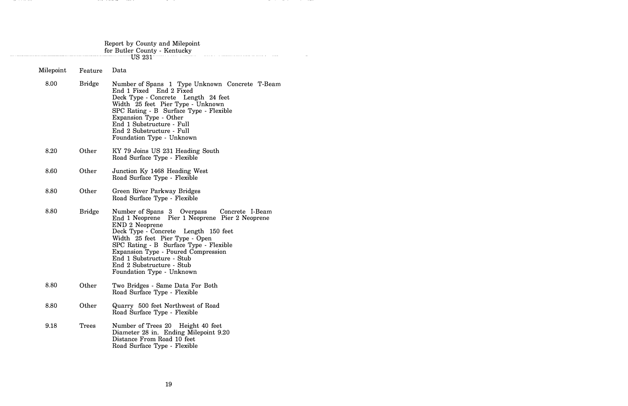|           |               | Report by County and Milepoint<br>for Butler County - Kentucky<br>US 231                                                                                                                                                                                                                                                                                                          |
|-----------|---------------|-----------------------------------------------------------------------------------------------------------------------------------------------------------------------------------------------------------------------------------------------------------------------------------------------------------------------------------------------------------------------------------|
| Milepoint | Feature       | Data                                                                                                                                                                                                                                                                                                                                                                              |
| 8.00      | <b>Bridge</b> | Number of Spans 1 Type Unknown Concrete T-Beam<br>End 1 Fixed End 2 Fixed<br>Deck Type - Concrete Length 24 feet<br>Width 25 feet Pier Type - Unknown<br>SPC Rating - B Surface Type - Flexible<br>Expansion Type - Other<br>End 1 Substructure - Full<br>End 2 Substructure - Full<br>Foundation Type - Unknown                                                                  |
| 8.20      | Other         | KY 79 Joins US 231 Heading South<br>Road Surface Type - Flexible                                                                                                                                                                                                                                                                                                                  |
| 8.60      | Other         | Junction Ky 1468 Heading West<br>Road Surface Type - Flexible                                                                                                                                                                                                                                                                                                                     |
| 8.80      | Other         | Green River Parkway Bridges<br>Road Surface Type - Flexible                                                                                                                                                                                                                                                                                                                       |
| 8.80      | <b>Bridge</b> | Number of Spans 3 Overpass<br>Concrete I-Beam<br>End 1 Neoprene Pier 1 Neoprene Pier 2 Neoprene<br><b>END 2 Neoprene</b><br>Deck Type - Concrete Length 150 feet<br>Width 25 feet Pier Type - Open<br>SPC Rating - B Surface Type - Flexible<br><b>Expansion Type - Poured Compression</b><br>End 1 Substructure - Stub<br>End 2 Substructure - Stub<br>Foundation Type - Unknown |
| 8.80      | Other         | Two Bridges - Same Data For Both<br>Road Surface Type - Flexible                                                                                                                                                                                                                                                                                                                  |
| 8.80      | Other         | Quarry 500 feet Northwest of Road<br>Road Surface Type - Flexible                                                                                                                                                                                                                                                                                                                 |
| 9.18      | Trees         | Number of Trees 20 Height 40 feet<br>Diameter 28 in. Ending Milepoint 9.20<br>Distance From Road 10 feet<br>Road Surface Type - Flexible                                                                                                                                                                                                                                          |

and the contract of

the control of the control of the

and the control of the control

and the

. . . . . . .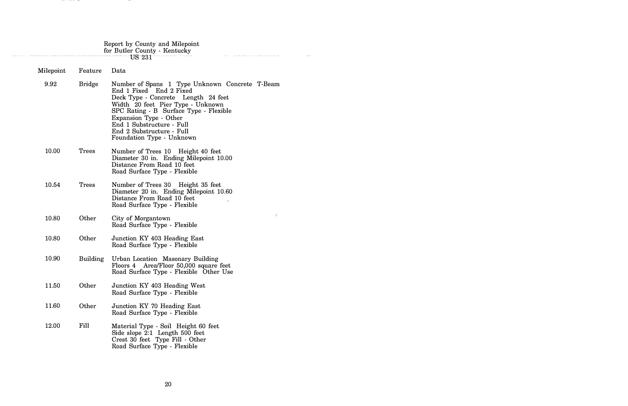|           |                 | Report by County and Milepoint<br>for Butler County - Kentucky<br>US 231                                                                                                                                                                                                                                                |
|-----------|-----------------|-------------------------------------------------------------------------------------------------------------------------------------------------------------------------------------------------------------------------------------------------------------------------------------------------------------------------|
| Milepoint | Feature         | Data                                                                                                                                                                                                                                                                                                                    |
| 9.92      | <b>Bridge</b>   | Number of Spans 1 Type Unknown Concrete T-Beam<br>End 1 Fixed End 2 Fixed<br>Deck Type - Concrete Length 24 feet<br>Width 20 feet Pier Type - Unknown<br>SPC Rating - B Surface Type - Flexible<br><b>Expansion Type - Other</b><br>End 1 Substructure - Full<br>End 2 Substructure - Full<br>Foundation Type - Unknown |
| 10.00     | <b>Trees</b>    | Number of Trees 10 Height 40 feet<br>Diameter 30 in. Ending Milepoint 10.00<br>Distance From Road 10 feet<br>Road Surface Type - Flexible                                                                                                                                                                               |
| 10.54     | <b>Trees</b>    | Number of Trees 30 Height 35 feet<br>Diameter 20 in. Ending Milepoint 10.60<br>Distance From Road 10 feet<br>$\mathcal{G}_{\mathcal{H}_\infty}$<br>Road Surface Type - Flexible                                                                                                                                         |
| 10.80     | Other           | City of Morgantown<br>Road Surface Type - Flexible                                                                                                                                                                                                                                                                      |
| 10.80     | Other           | Junction KY 403 Heading East<br>Road Surface Type - Flexible                                                                                                                                                                                                                                                            |
| 10.90     | <b>Building</b> | Urban Location Masonary Building<br>Area/Floor 50,000 square feet<br>Floors 4<br>Road Surface Type - Flexible Other Use                                                                                                                                                                                                 |
| 11.50     | Other           | Junction KY 403 Heading West<br>Road Surface Type - Flexible                                                                                                                                                                                                                                                            |
| 11.60     | Other           | Junction KY 70 Heading East<br>Road Surface Type - Flexible                                                                                                                                                                                                                                                             |
| 12.00     | Fill            | Material Type - Soil Height 60 feet<br>Side slope 2:1 Length 500 feet<br>Crest 30 feet Type Fill - Other<br>Road Surface Type - Flexible                                                                                                                                                                                |

 $\sim$   $\sim$ 

the contract of the contract of the

and the state of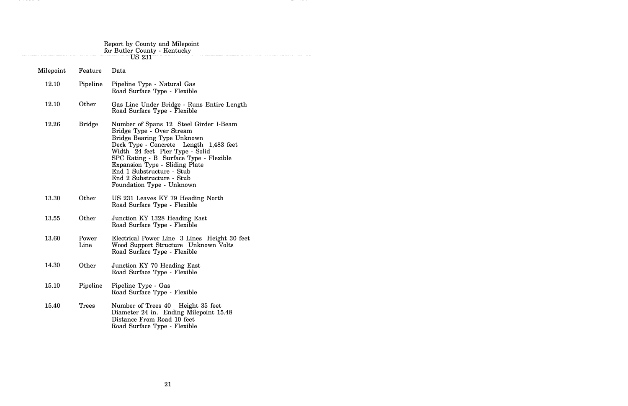the community of the community of the community of the community of the community of the community of the community of the community of the community of the community of the community of the community of the community of t

the contract of the contract of the contract of the contract of the contract of the contract of the contract of the contract of the contract of the contract of the contract of the contract of the contract of the contract o

|           |               | Report by County and Milepoint<br>for Butler County - Kentucky<br>US 231                                                                                                                                                                                                                                                                           |
|-----------|---------------|----------------------------------------------------------------------------------------------------------------------------------------------------------------------------------------------------------------------------------------------------------------------------------------------------------------------------------------------------|
| Milepoint | Feature       | Data                                                                                                                                                                                                                                                                                                                                               |
| 12.10     | Pipeline      | Pipeline Type - Natural Gas<br>Road Surface Type - Flexible                                                                                                                                                                                                                                                                                        |
| 12.10     | Other         | Gas Line Under Bridge - Runs Entire Length<br>Road Surface Type - Flexible                                                                                                                                                                                                                                                                         |
| 12.26     | <b>Bridge</b> | Number of Spans 12 Steel Girder I-Beam<br>Bridge Type - Over Stream<br>Bridge Bearing Type Unknown<br>Deck Type - Concrete Length 1,483 feet<br>Width 24 feet Pier Type - Solid<br>SPC Rating - B Surface Type - Flexible<br>Expansion Type - Sliding Plate<br>End 1 Substructure - Stub<br>End 2 Substructure - Stub<br>Foundation Type - Unknown |
| 13.30     | Other         | US 231 Leaves KY 79 Heading North<br>Road Surface Type - Flexible                                                                                                                                                                                                                                                                                  |
| 13.55     | Other         | Junction KY 1328 Heading East<br>Road Surface Type - Flexible                                                                                                                                                                                                                                                                                      |
| 13.60     | Power<br>Line | Electrical Power Line 3 Lines Height 30 feet<br>Wood Support Structure Unknown Volts<br>Road Surface Type - Flexible                                                                                                                                                                                                                               |
| 14.30     | Other         | Junction KY 70 Heading East<br>Road Surface Type - Flexible                                                                                                                                                                                                                                                                                        |
| 15.10     | Pipeline      | Pipeline Type - Gas<br>Road Surface Type - Flexible                                                                                                                                                                                                                                                                                                |
| 15.40     | <b>Trees</b>  | Number of Trees 40<br>Height 35 feet<br>Diameter 24 in. Ending Milepoint 15.48<br>Distance From Road 10 feet<br>Road Surface Type - Flexible                                                                                                                                                                                                       |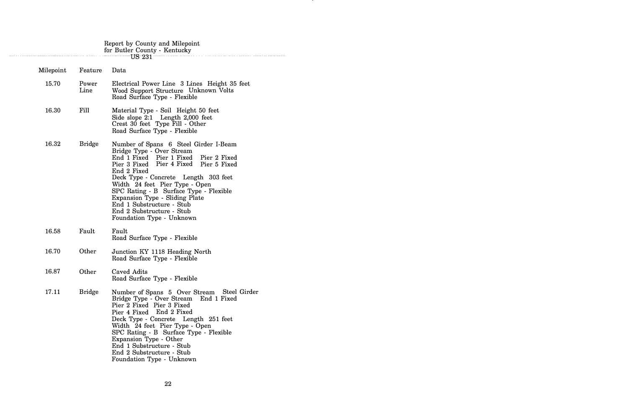|           |               | Report by County and Milepoint<br>for Butler County - Kentucky<br>$\mathrm{US}$ 231 $^{\circ}$                                                                                                                                                                                                                                                                                                                    |
|-----------|---------------|-------------------------------------------------------------------------------------------------------------------------------------------------------------------------------------------------------------------------------------------------------------------------------------------------------------------------------------------------------------------------------------------------------------------|
| Milepoint | Feature       | Data                                                                                                                                                                                                                                                                                                                                                                                                              |
| 15.70     | Power<br>Line | Electrical Power Line 3 Lines Height 35 feet<br>Wood Support Structure Unknown Volts<br>Road Surface Type - Flexible                                                                                                                                                                                                                                                                                              |
| 16.30     | Fill          | Material Type - Soil Height 50 feet<br>Side slope 2:1 Length 2,000 feet<br>Crest 30 feet Type Fill - Other<br>Road Surface Type - Flexible                                                                                                                                                                                                                                                                        |
| 16.32     | <b>Bridge</b> | Number of Spans 6 Steel Girder I-Beam<br>Bridge Type - Over Stream<br>End 1 Fixed Pier 1 Fixed Pier 2 Fixed<br>Pier 3 Fixed Pier 4 Fixed Pier 5 Fixed<br>End 2 Fixed<br>Deck Type - Concrete Length 303 feet<br>Width 24 feet Pier Type - Open<br>SPC Rating - B Surface Type - Flexible<br>Expansion Type - Sliding Plate<br>End 1 Substructure - Stub<br>End 2 Substructure - Stub<br>Foundation Type - Unknown |
| 16.58     | Fault         | Fault<br>Road Surface Type - Flexible                                                                                                                                                                                                                                                                                                                                                                             |
| 16.70     | Other         | Junction KY 1118 Heading North<br>Road Surface Type - Flexible                                                                                                                                                                                                                                                                                                                                                    |
| 16.87     | Other         | Caved Adits<br>Road Surface Type - Flexible                                                                                                                                                                                                                                                                                                                                                                       |
| 17.11     | <b>Bridge</b> | Number of Spans 5 Over Stream Steel Girder<br>Bridge Type - Over Stream End 1 Fixed<br>Pier 2 Fixed Pier 3 Fixed<br>Pier 4 Fixed End 2 Fixed<br>Deck Type - Concrete Length 251 feet<br>Width 24 feet Pier Type - Open<br>SPC Rating - B Surface Type - Flexible<br>Expansion Type - Other<br>End 1 Substructure - Stub<br>End 2 Substructure - Stub<br>Foundation Type - Unknown                                 |

and the con-